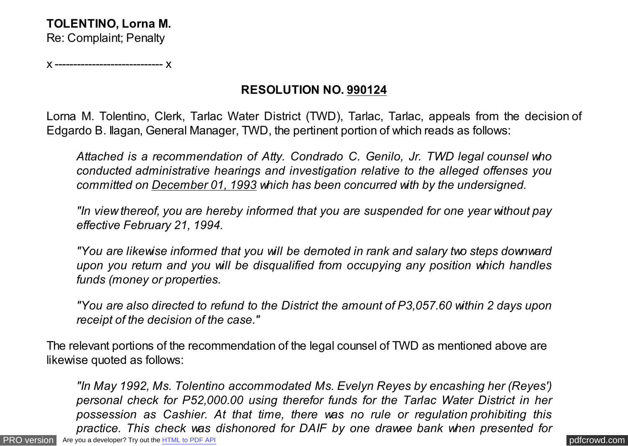x ----------------------------- x

## **RESOLUTION NO. 990124**

Lorna M. Tolentino, Clerk, Tarlac Water District (TWD), Tarlac, Tarlac, appeals from the decision of Edgardo B. Ilagan, General Manager, TWD, the pertinent portion of which reads as follows:

*Attached is a recommendation of Atty. Condrado C. Genilo, Jr. TWD legal counsel who conducted administrative hearings and investigation relative to the alleged offenses you committed on December 01, 1993 which has been concurred with by the undersigned.*

*"In view thereof, you are hereby informed that you are suspended for one year without pay effective February 21, 1994.*

*"You are likewise informed that you will be demoted in rank and salary two steps downward upon you return and you will be disqualified from occupying any position which handles funds (money or properties.*

*"You are also directed to refund to the District the amount of P3,057.60 within 2 days upon receipt of the decision of the case."*

The relevant portions of the recommendation of the legal counsel of TWD as mentioned above are likewise quoted as follows:

[PRO version](http://pdfcrowd.com/customize/) Are you a developer? Try out th[e HTML to PDF API](http://pdfcrowd.com/html-to-pdf-api/?ref=pdf) contract the CHTML of PDF API [pdfcrowd.com](http://pdfcrowd.com) *"In May 1992, Ms. Tolentino accommodated Ms. Evelyn Reyes by encashing her (Reyes') personal check for P52,000.00 using therefor funds for the Tarlac Water District in her possession as Cashier. At that time, there was no rule or regulation prohibiting this practice. This check was dishonored for DAIF by one drawee bank when presented for*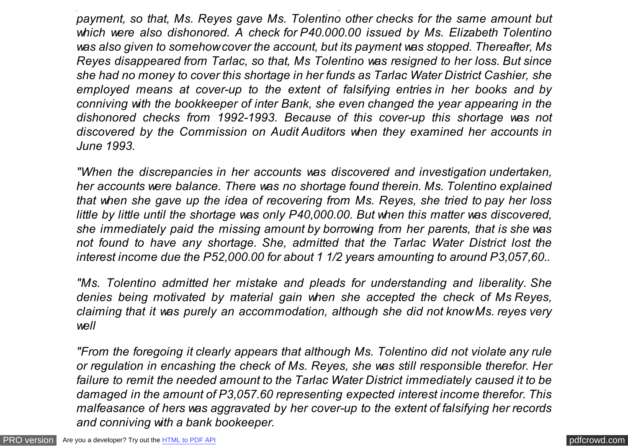*payment, so that, Ms. Reyes gave Ms. Tolentino other checks for the same amount but which were also dishonored. A check for P40.000.00 issued by Ms. Elizabeth Tolentino was also given to somehow cover the account, but its payment was stopped. Thereafter, Ms Reyes disappeared from Tarlac, so that, Ms Tolentino was resigned to her loss. But since she had no money to cover this shortage in her funds as Tarlac Water District Cashier, she employed means at cover-up to the extent of falsifying entries in her books and by conniving with the bookkeeper of inter Bank, she even changed the year appearing in the dishonored checks from 1992-1993. Because of this cover-up this shortage was not discovered by the Commission on Audit Auditors when they examined her accounts in June 1993.*

*practice. This check was dishonored for DAIF by one drawee bank when presented for*

*"When the discrepancies in her accounts was discovered and investigation undertaken, her accounts were balance. There was no shortage found therein. Ms. Tolentino explained that when she gave up the idea of recovering from Ms. Reyes, she tried to pay her loss little by little until the shortage was only P40,000.00. But when this matter was discovered, she immediately paid the missing amount by borrowing from her parents, that is she was not found to have any shortage. She, admitted that the Tarlac Water District lost the interest income due the P52,000.00 for about 1 1/2 years amounting to around P3,057,60..*

*"Ms. Tolentino admitted her mistake and pleads for understanding and liberality. She denies being motivated by material gain when she accepted the check of Ms Reyes, claiming that it was purely an accommodation, although she did not know Ms. reyes very well*

*"From the foregoing it clearly appears that although Ms. Tolentino did not violate any rule or regulation in encashing the check of Ms. Reyes, she was still responsible therefor. Her failure to remit the needed amount to the Tarlac Water District immediately caused it to be damaged in the amount of P3,057.60 representing expected interest income therefor. This malfeasance of hers was aggravated by her cover-up to the extent of falsifying her records and conniving with a bank bookeeper.*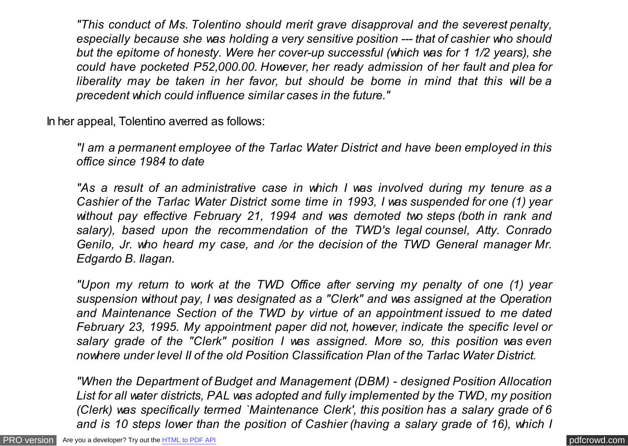*"This conduct of Ms. Tolentino should merit grave disapproval and the severest penalty, especially because she was holding a very sensitive position --- that of cashier who should but the epitome of honesty. Were her cover-up successful (which was for 1 1/2 years), she could have pocketed P52,000.00. However, her ready admission of her fault and plea for liberality may be taken in her favor, but should be borne in mind that this will be a precedent which could influence similar cases in the future."*

In her appeal, Tolentino averred as follows:

*"I am a permanent employee of the Tarlac Water District and have been employed in this office since 1984 to date*

*"As a result of an administrative case in which I was involved during my tenure as a Cashier of the Tarlac Water District some time in 1993, I was suspended for one (1) year without pay effective February 21, 1994 and was demoted two steps (both in rank and salary), based upon the recommendation of the TWD's legal counsel, Atty. Conrado Genilo, Jr. who heard my case, and /or the decision of the TWD General manager Mr. Edgardo B. Ilagan.*

*"Upon my return to work at the TWD Office after serving my penalty of one (1) year suspension without pay, I was designated as a "Clerk" and was assigned at the Operation and Maintenance Section of the TWD by virtue of an appointment issued to me dated February 23, 1995. My appointment paper did not, however, indicate the specific level or salary grade of the "Clerk" position I was assigned. More so, this position was even nowhere under level II of the old Position Classification Plan of the Tarlac Water District.*

*"When the Department of Budget and Management (DBM) - designed Position Allocation List for all water districts, PAL was adopted and fully implemented by the TWD, my position (Clerk) was specifically termed `Maintenance Clerk', this position has a salary grade of 6 and is 10 steps lower than the position of Cashier (having a salary grade of 16), which I*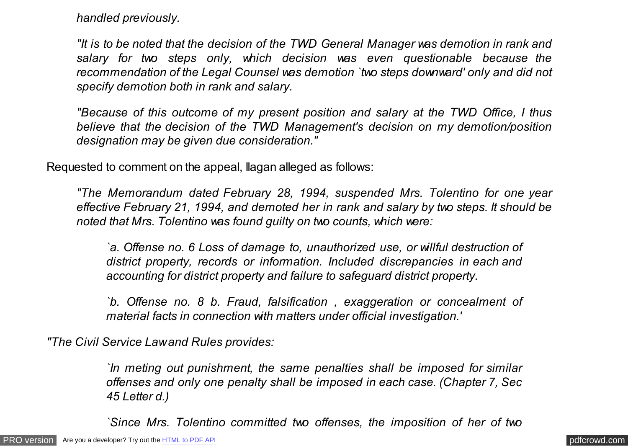*handled previously.*

*"It is to be noted that the decision of the TWD General Manager was demotion in rank and salary for two steps only, which decision was even questionable because the recommendation of the Legal Counsel was demotion `two steps downward' only and did not specify demotion both in rank and salary.*

*"Because of this outcome of my present position and salary at the TWD Office, I thus believe that the decision of the TWD Management's decision on my demotion/position designation may be given due consideration."*

Requested to comment on the appeal, Ilagan alleged as follows:

*"The Memorandum dated February 28, 1994, suspended Mrs. Tolentino for one year effective February 21, 1994, and demoted her in rank and salary by two steps. It should be noted that Mrs. Tolentino was found guilty on two counts, which were:*

*`a. Offense no. 6 Loss of damage to, unauthorized use, or willful destruction of district property, records or information. Included discrepancies in each and accounting for district property and failure to safeguard district property.*

*`b. Offense no. 8 b. Fraud, falsification , exaggeration or concealment of material facts in connection with matters under official investigation.'*

*"The Civil Service Law and Rules provides:*

*`In meting out punishment, the same penalties shall be imposed for similar offenses and only one penalty shall be imposed in each case. (Chapter 7, Sec 45 Letter d.)*

*`Since Mrs. Tolentino committed two offenses, the imposition of her of two*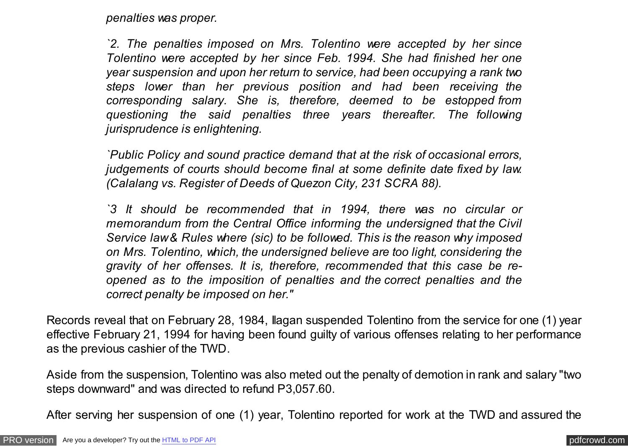*penalties was proper.*

*`2. The penalties imposed on Mrs. Tolentino were accepted by her since Tolentino were accepted by her since Feb. 1994. She had finished her one year suspension and upon her return to service, had been occupying a rank two steps lower than her previous position and had been receiving the corresponding salary. She is, therefore, deemed to be estopped from questioning the said penalties three years thereafter. The following jurisprudence is enlightening.*

*`Public Policy and sound practice demand that at the risk of occasional errors, judgements of courts should become final at some definite date fixed by law. (Calalang vs. Register of Deeds of Quezon City, 231 SCRA 88).*

*`3 It should be recommended that in 1994, there was no circular or memorandum from the Central Office informing the undersigned that the Civil Service law & Rules where (sic) to be followed. This is the reason why imposed on Mrs. Tolentino, which, the undersigned believe are too light, considering the gravity of her offenses. It is, therefore, recommended that this case be reopened as to the imposition of penalties and the correct penalties and the correct penalty be imposed on her."*

Records reveal that on February 28, 1984, Ilagan suspended Tolentino from the service for one (1) year effective February 21, 1994 for having been found guilty of various offenses relating to her performance as the previous cashier of the TWD.

Aside from the suspension, Tolentino was also meted out the penalty of demotion in rank and salary "two steps downward" and was directed to refund P3,057.60.

After serving her suspension of one (1) year, Tolentino reported for work at the TWD and assured the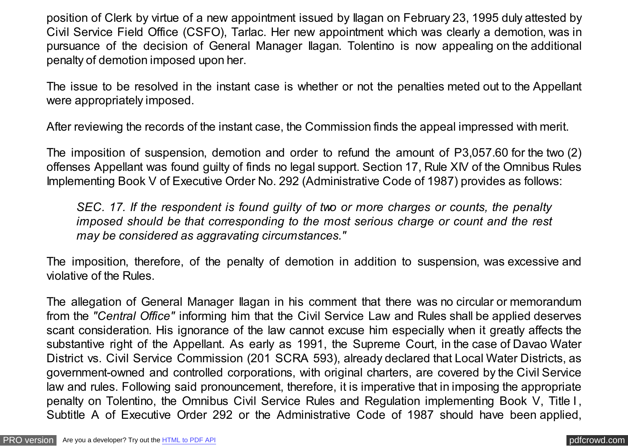position of Clerk by virtue of a new appointment issued by Ilagan on February 23, 1995 duly attested by Civil Service Field Office (CSFO), Tarlac. Her new appointment which was clearly a demotion, was in pursuance of the decision of General Manager Ilagan. Tolentino is now appealing on the additional penalty of demotion imposed upon her.

The issue to be resolved in the instant case is whether or not the penalties meted out to the Appellant were appropriately imposed.

After reviewing the records of the instant case, the Commission finds the appeal impressed with merit.

The imposition of suspension, demotion and order to refund the amount of P3,057.60 for the two (2) offenses Appellant was found guilty of finds no legal support. Section 17, Rule XIV of the Omnibus Rules Implementing Book V of Executive Order No. 292 (Administrative Code of 1987) provides as follows:

*SEC. 17. If the respondent is found guilty of two or more charges or counts, the penalty imposed should be that corresponding to the most serious charge or count and the rest may be considered as aggravating circumstances."*

The imposition, therefore, of the penalty of demotion in addition to suspension, was excessive and violative of the Rules.

The allegation of General Manager Ilagan in his comment that there was no circular or memorandum from the *"Central Office"* informing him that the Civil Service Law and Rules shall be applied deserves scant consideration. His ignorance of the law cannot excuse him especially when it greatly affects the substantive right of the Appellant. As early as 1991, the Supreme Court, in the case of Davao Water District vs. Civil Service Commission (201 SCRA 593), already declared that Local Water Districts, as government-owned and controlled corporations, with original charters, are covered by the Civil Service law and rules. Following said pronouncement, therefore, it is imperative that in imposing the appropriate penalty on Tolentino, the Omnibus Civil Service Rules and Regulation implementing Book V, Title I , Subtitle A of Executive Order 292 or the Administrative Code of 1987 should have been applied,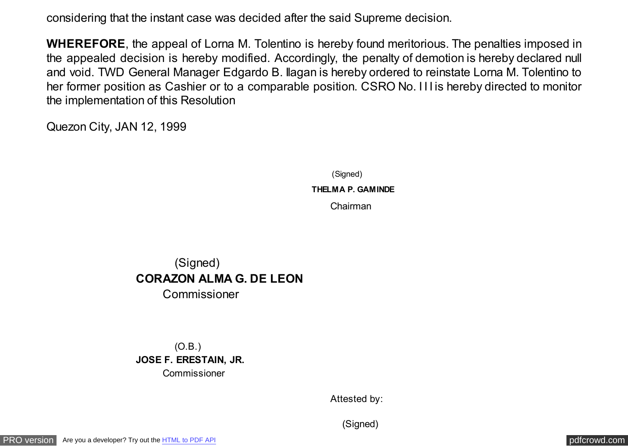considering that the instant case was decided after the said Supreme decision.

**WHEREFORE**, the appeal of Lorna M. Tolentino is hereby found meritorious. The penalties imposed in the appealed decision is hereby modified. Accordingly, the penalty of demotion is hereby declared null and void. TWD General Manager Edgardo B. Ilagan is hereby ordered to reinstate Lorna M. Tolentino to her former position as Cashier or to a comparable position. CSRO No. I I I is hereby directed to monitor the implementation of this Resolution

Quezon City, JAN 12, 1999

(Signed)  **THELMA P. GAMINDE** Chairman

## (Signed) **CORAZON ALMA G. DE LEON** Commissioner

 (O.B.) **JOSE F. ERESTAIN, JR.** Commissioner

Attested by:

(Signed)